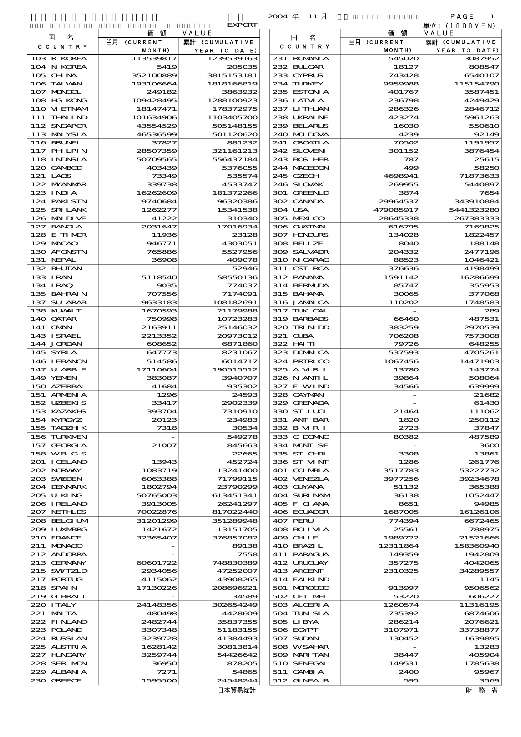|                             |                        |                          | $2004 \text{ } \#$<br>- 11 月 |                    | PAGE<br>1               |
|-----------------------------|------------------------|--------------------------|------------------------------|--------------------|-------------------------|
|                             |                        | <b>EXPORT</b>            |                              | 額                  | 単位:(1000YEN)            |
| 名<br>国                      | 価<br>額<br>当月 (CURRENT  | VALUE<br>累計 (CUMULATIVE  | 名<br>国                       | 価<br>当月 (CURRENT   | VALUE<br>累計 (CUMULATIVE |
| C O U N T R Y               | MONTH)                 | YEAR TO DATE)            | C O U N T R Y                | MONTH)             | YEAR TO DATE)           |
| 103 R KOREA                 | 113539817              | 1239539163               | 231 ROMAN A                  | 545020             | 3087952                 |
| 104 N KOREA                 | 5419                   | 205035                   | 232 BLIGAR                   | 18127              | 808547                  |
| 105 CHNA<br>106 TAI WAN     | 352100889<br>193106664 | 3815153181<br>1818166819 | 233 CYPRUS<br>234 TURKEY     | 743428<br>9959988  | 6540107<br>115154790    |
| 107 MAGOL                   | 249182                 | 3863932                  | 235 ESTON A                  | 401767             | 3587451                 |
| 108 HG KONG                 | 109428495              | 1288100923               | 236 LATM A                   | 236798             | 4249429                 |
| 110 VIETNAM                 | 18147471               | 178372975                | 237 LITHAN                   | 286326             | 2846712                 |
| 111 THAILND                 | 101634906              | 1103405700               | 238 UKRAINE                  | 423274             | 5961263                 |
| 112 SNGAPOR<br>113 MALYSIA  | 43554529<br>46536599   | 505148155<br>501120620   | 239 BELARUS<br>240 MIDJA     | 16030<br>4239      | 550610<br>92149         |
| <b>116 BRUNEI</b>           | 37827                  | 881232                   | 241 CROATIA                  | 70502              | 1191957                 |
| 117 PHLPIN                  | 28507359               | 321161213                | 242 SLOVEN                   | 301152             | 3876454                 |
| 118 I NDNSI A               | 50709565               | 556437184                | 243 BOS HER                  | 787                | 25615                   |
| 120 CAMBOD                  | 403439                 | 5376055                  | 244 MACEDON                  | 499                | 58250                   |
| 121 LAOS<br>122 MYANAR      | 73349<br>339738        | 535574<br>4533747        | 245 CZECH<br>246 SLOVAK      | 4698941<br>269955  | 71873633<br>5440897     |
| $123$ INJA                  | 16262609               | 181372266                | 301 GREENLD                  | 3874               | 7654                    |
| 124 PAKISTN                 | 9740684                | 96320386                 | 302 CANADA                   | 29964537           | 343910884               |
| 125 SRILANK                 | 1262277                | 15341538                 | 304 USA                      | 479085917          | 5441323280              |
| 126 MALINE<br>127 BANCLA    | 41222<br>2031647       | 310340<br>17016934       | 305 MEXICO<br>306 GUATMAL    | 28645338<br>616795 | 267383333<br>7169825    |
| 128 E TIMOR                 | 11936                  | 23128                    | 307 HONDURS                  | 134028             | 1822457                 |
| 129 MACAO                   | 946771                 | 4303051                  | 308 BELLZE                   | 8040               | 188148                  |
| 130 AFGNSTN                 | 765886                 | 5527956                  | 309 SALVAIR                  | 204332             | 2477196                 |
| 131 NEPAL                   | 36908                  | 409078                   | 310 N CARAG                  | 88523              | 1046421                 |
| 132 BHUTAN<br>133 IRAN      | 5118540                | 52946<br>58550136        | 311 CST RCA<br>312 PANAMA    | 376636<br>1591142  | 4198499<br>16286699     |
| 134 I RAQ                   | 9035                   | 774037                   | 314 BERMIDA                  | 85747              | 355953                  |
| 135 BAHRAIN                 | 707556                 | 7174091                  | 315 BAI ANA                  | 30065              | 377068                  |
| 137 SU ARAB                 | 9633183                | 108182691                | 316 JAMAICA                  | 110202             | 1748583                 |
| 138 KUWAIT                  | 1670593                | 21179988                 | 317 TUK CAI                  |                    | 289                     |
| 140 QATAR<br>141 OMN        | 750998<br>2163911      | 10723283<br>25146032     | 319 BARBADS<br>320 TRINDO    | 66460<br>383259    | 487531<br>2970539       |
| 143 ISRAEL                  | 2213352                | 20973012                 | 321 CLBA                     | 706208             | 7573008                 |
| 144 JORDAN                  | 608652                 | 6871860                  | 322 HAITI                    | 79726              | 648255                  |
| 145 SYRIA                   | 647773                 | 8231067                  | 323 DOMNICA                  | 537593             | 4705261                 |
| 146 LEBANON<br>147 U ARB E  | 514586<br>17110604     | 6014717<br>190515512     | 324 PRIRICO<br>325 A MR I    | 1067456<br>13780   | 14471903<br>143774      |
| 149 YEMEN                   | 383087                 | 3940707                  | 326 N ANII L                 | 39864              | 508064                  |
| 150 AZERBAI                 | 41684                  | 935302                   | 327 F WIND                   | 34566              | 639999                  |
| 151 ARMENIA                 | 1296                   | 24593                    | 328 CAYMAN                   |                    | 21682                   |
| 152 UZEKIS<br>153 KAZAKHS   | 33417<br>393704        | 2902339<br>7310910       | 329 GRENADA<br>330 ST LUI    | 21464              | 61430<br>111062         |
| 154 KYRGYZ                  | 20123                  | 234983                   | 331 ANT BAR                  | 1820               | 250112                  |
| 155 TADZH K                 | 7318                   | 30534                    | 332 B MR I                   | 2723               | 37847                   |
| 156 TURKMEN                 |                        | 549278                   | 333 C DOMAC                  | 80382              | 487589                  |
| 157 GEORGIA                 | 21007                  | 845663                   | 334 MONT SE                  |                    | 3600                    |
| 158 WB G S<br>201 I CELAND  | 13943                  | 22665<br>452724          | 335 ST CHRI<br>336 ST VINT   | 3308<br>1286       | 13861<br>261776         |
| 202 NORWAY                  | 1083719                | 13241400                 | 401 COLMBIA                  | 3517783            | 53227732                |
| 203 SWIDEN                  | 6063388                | 71799115                 | 402 VENEZIA                  | 3977256            | 39234678                |
| 204 DENMARK                 | 1802794                | 23790299                 | 403 GUYANA                   | 51132              | 365388                  |
| 205 U KING<br>206 I RELAND  | 50765003<br>3913005    | 613451341<br>26241297    | 404 SURINAM<br>405 F GIANA   | 36138<br>8651      | 1052447<br>94985        |
| 207 NETHLIS                 | 70022876               | 817022440                | 406 ECUADOR                  | 1687005            | 16126106                |
| 208 BELGI UM                | 31201299               | 351289948                | 407 PERU                     | 774394             | 6672465                 |
| 2009 LUNABRG                | 1421672                | 13151705                 | 408 BOLI VI A                | 25561              | 788975                  |
| 210 FRANCE                  | 32365407               | 376857082                | 409 CHLE                     | 1989722            | 21521666                |
| 211 MUNACO<br>212 ANDORRA   |                        | 89138<br>7558            | 410 BRAZIL<br>411 PARAGUA    | 12311864<br>149359 | 158360940<br>1942809    |
| 213 GERMANY                 | 60601722               | 748830389                | 412 URUCUAY                  | 357275             | 4042065                 |
| 215 SWIZLD                  | 2934056                | 47252007                 | 413 ARCENT                   | 2310325            | 34289557                |
| 217 PORTUGL                 | 4115062                | 43908265                 | 414 FALKLND                  |                    | 1145                    |
| 218 SPAIN<br>219 GIBRALT    | 17130226               | 208696921<br>34589       | 501 MROCCO<br>502 CET MEL    | 913997<br>53220    | 9506562<br>606227       |
| 220 I TALY                  | 24148356               | 302654249                | 503 ALGERIA                  | 1260574            | 11316195                |
| 221 MALTA                   | 480498                 | 4428609                  | 504 TUN SI A                 | 735392             | 6874606                 |
| 222 FINAND                  | 2482744                | 35837355                 | 505 LIBYA                    | 286214             | 2076621                 |
| 223 POLAND                  | 3307348                | 51183155                 | 506 EGYPT                    | 3107971            | 33738877                |
| 224 RUSSI AN<br>225 ALSTRIA | 3239728<br>1628142     | 41384493<br>30813814     | 507 SUDAN<br>508 WSAHAR      | 130452             | 1639895<br>13283        |
| 227 H.NGARY                 | 3259744                | 54426642                 | 509 MARITAN                  | 38447              | 405904                  |
| 228 SER MON                 | 36950                  | 878205                   | 510 SENEGAL                  | 149531             | 1785638                 |
| 229 ALBAN A                 | 7271                   | 54865                    | 511 GAMBIA                   | 2400               | 95967                   |
| 230 GREECE                  | 1595500                | 24548244                 | 512 GINEA B                  | 595                | 3569                    |

|                             |                        | <b>EXPORT</b>           |
|-----------------------------|------------------------|-------------------------|
| 国<br>名                      | 額<br>価<br>当月 (CURRENT  | VALUE<br>累計 (CUMULATIVE |
| COUNTRY                     | MONTH)                 | YEAR TO DATE)           |
| 103 R KOREA                 | 113539817              | 1239539163              |
| 104 N KOREA                 | 5419                   | 205035                  |
| $105$ CHNA<br>106 TAI VAN   | 352100889<br>193106664 | 3815153181              |
| 107 MAGOL                   | 249182                 | 1818166819<br>3863932   |
| 108 HG KONG                 | 109428495              | 1288100923              |
| 110 VIEINAM                 | 18147471               | 178372975               |
| $111$ THAI IND              | 101634906              | 1103405700              |
| 112 SNGAPOR<br>113 MALYSIA  | 43554529<br>46536599   | 505148155<br>501120620  |
| <b>116 BRUNEI</b>           | 37827                  | 881232                  |
| 117 PHLPIN                  | 28507359               | 321161213               |
| 118 INDSIA                  | 50709565               | 556437184               |
| 120 CAMBOD                  | 403439                 | 5376055                 |
| 121 LAOS<br>122 NYANAR      | 73349<br>339738        | 535574<br>4533747       |
| $123$ INIA                  | 16262609               | 181372266               |
| 124 PAKI STN                | 9740684                | 96320386                |
| 125 SRILANK                 | 1262277                | 15341538                |
| 126 MALINE                  | 41222                  | 310340                  |
| 127 BANCLA<br>128 E TIMOR   | 2031647<br>11936       | 17016934<br>23128       |
| 129 MACAO                   | 946771                 | 4303051                 |
| 130 AFGNSTN                 | 765886                 | 5527956                 |
| 131 NEPAL                   | 36908                  | 409078                  |
| 132 BHUTAN                  |                        | 52946                   |
| 133 IRAN<br>134 IRAQ        | 5118540<br>9035        | 58550136<br>774037      |
| 135 BAHRAIN                 | 707556                 | 7174091                 |
| 137 SU ARAB                 | 9633183                | 108182691               |
| 138 KUWAIT                  | 1670593                | 21179988                |
| 140 QATAR<br>141 OMN        | 750998<br>2163911      | 10723283<br>25146032    |
| 143 ISRAEL                  | 2213352                | 20973012                |
| 144 JORDAN                  | 608652                 | 6871860                 |
| 145 SYRIA                   | 647773                 | 8231067                 |
| 146 LEBANON                 | 514586                 | 6014717                 |
| 147 U ARB E<br>149 YEMEN    | 17110604<br>383087     | 190515512<br>3940707    |
| 150 AZERBAI                 | 41684                  | 935302                  |
| 151 ARMENIA                 | 1296                   | 24593                   |
| 152 UZBEKIS                 | 33417                  | 2902339                 |
| 153 KAZAKLE<br>154 KYRGYZ   | 393704<br>20123        | 7310910                 |
| 155 TADZH K                 | 7318                   | 234983<br>30534         |
| 156 TURKMEN                 |                        | 549278                  |
| 157 GEORGIA                 | 21007                  | 845663                  |
| 158 WB G S                  |                        | 22665                   |
| 201 I CELAND<br>202 NORWAY  | 13943<br>1083719       | 452724<br>13241400      |
| 203 SWIDEN                  | 6063388                | 71799115                |
| 204 DENMARK                 | 1802794                | 23790299                |
| 205 U KING                  | 50765003               | 613451341               |
| 206 I RELAND<br>207 NEIHLDS | 3913005<br>70022876    | 26241297<br>817022440   |
| 208 BELGI UM                | 312001299              | 351289948               |
| 2009 LUXMBRG                | 1421672                | 13151705                |
| 210 FRANCE                  | 32365407               | 376857082               |
| 211 MONACO                  |                        | 89138                   |
| 212 ANDORRA<br>213 GERMANY  | 60601722               | 7558<br>748830389       |
| 215 SWIZLD                  | 2934056                | 47252007                |
| 217 PORIUL                  | 4115062                | 43908265                |
| 218 SPAIN                   | 17130226               | 208696921               |
| 219 GIBRALT<br>220 ITALY    | 24148356               | 34589<br>302654249      |
| 221 MALTA                   | 480498                 | 4428609                 |
| 222 FINAND                  | 2482744                | 35837355                |
| 223 POLAND                  | 3307348                | 51183155                |
| 224 RUSSI AN                | 3239728                | 41384493                |
| 225 ALSTRIA<br>227 HNGARY   | 1628142<br>3259744     | 30813814<br>54426642    |
| 228 SER MON                 | 36950                  | 878205                  |
| 229 ALBAN A                 | 7271                   | 54865                   |
| 230 GREECE                  | 1595500                | 24548244                |
|                             |                        | 日本貿易統計                  |

財務省